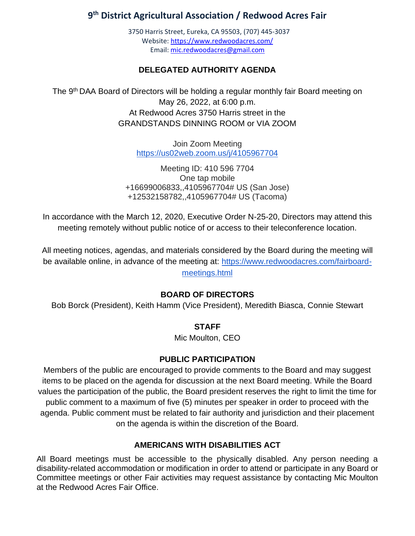# **9 th District Agricultural Association / Redwood Acres Fair**

3750 Harris Street, Eureka, CA 95503, (707) 445-3037 Website[: https://www.redwoodacres.com/](https://www.redwoodacres.com/) Email: [mic.redwoodacres@gmail.com](mailto:mic.redwoodacres@gmail.com)

# **DELEGATED AUTHORITY AGENDA**

The 9<sup>th</sup> DAA Board of Directors will be holding a regular monthly fair Board meeting on May 26, 2022, at 6:00 p.m. At Redwood Acres 3750 Harris street in the GRANDSTANDS DINNING ROOM or VIA ZOOM

> Join Zoom Meeting <https://us02web.zoom.us/j/4105967704>

Meeting ID: 410 596 7704 One tap mobile +16699006833,,4105967704# US (San Jose) +12532158782,,4105967704# US (Tacoma)

In accordance with the March 12, 2020, Executive Order N-25-20, Directors may attend this meeting remotely without public notice of or access to their teleconference location.

All meeting notices, agendas, and materials considered by the Board during the meeting will be available online, in advance of the meeting at: [https://www.redwoodacres.com/fairboard](https://www.redwoodacres.com/fairboard-meetings.html)[meetings.html](https://www.redwoodacres.com/fairboard-meetings.html)

#### **BOARD OF DIRECTORS**

Bob Borck (President), Keith Hamm (Vice President), Meredith Biasca, Connie Stewart

#### **STAFF**

Mic Moulton, CEO

#### **PUBLIC PARTICIPATION**

Members of the public are encouraged to provide comments to the Board and may suggest items to be placed on the agenda for discussion at the next Board meeting. While the Board values the participation of the public, the Board president reserves the right to limit the time for public comment to a maximum of five (5) minutes per speaker in order to proceed with the agenda. Public comment must be related to fair authority and jurisdiction and their placement on the agenda is within the discretion of the Board.

#### **AMERICANS WITH DISABILITIES ACT**

All Board meetings must be accessible to the physically disabled. Any person needing a disability-related accommodation or modification in order to attend or participate in any Board or Committee meetings or other Fair activities may request assistance by contacting Mic Moulton at the Redwood Acres Fair Office.